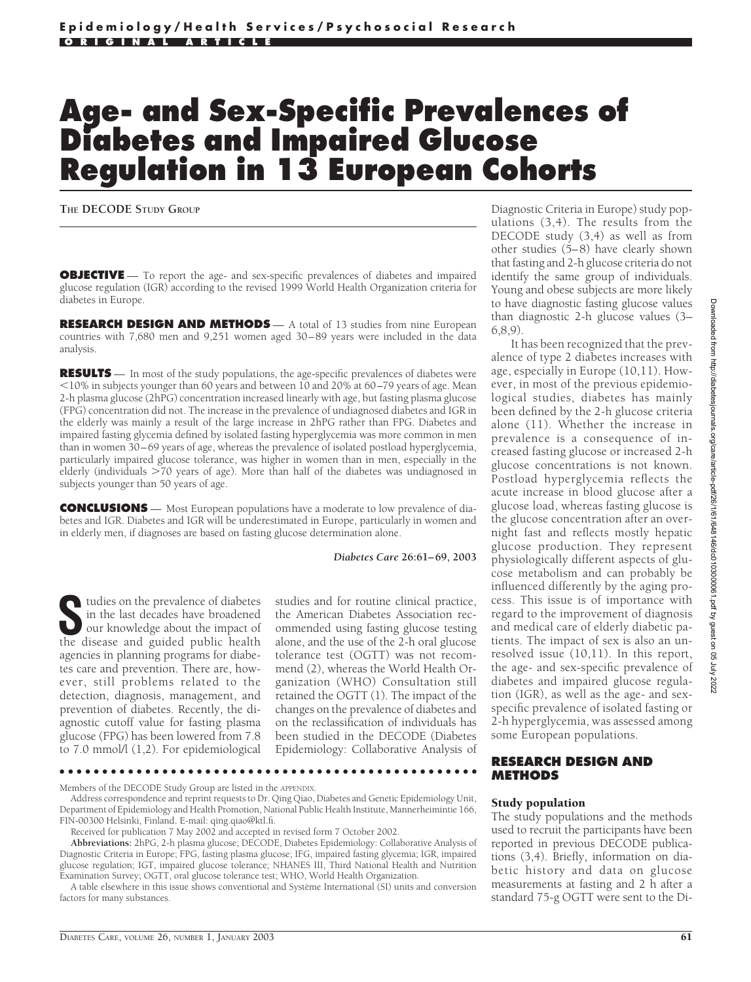# **Age- and Sex-Specific Prevalences of Diabetes and Impaired Glucose Regulation in 13 European Cohorts**

**THE DECODE STUDY GROUP**

**OBJECTIVE** — To report the age- and sex-specific prevalences of diabetes and impaired glucose regulation (IGR) according to the revised 1999 World Health Organization criteria for diabetes in Europe.

**RESEARCH DESIGN AND METHODS** — A total of 13 studies from nine European countries with 7,680 men and 9,251 women aged 30–89 years were included in the data analysis.

RESULTS - In most of the study populations, the age-specific prevalences of diabetes were  $10\%$  in subjects younger than 60 years and between 10 and 20% at 60–79 years of age. Mean 2-h plasma glucose (2hPG) concentration increased linearly with age, but fasting plasma glucose (FPG) concentration did not. The increase in the prevalence of undiagnosed diabetes and IGR in the elderly was mainly a result of the large increase in 2hPG rather than FPG. Diabetes and impaired fasting glycemia defined by isolated fasting hyperglycemia was more common in men than in women 30–69 years of age, whereas the prevalence of isolated postload hyperglycemia, particularly impaired glucose tolerance, was higher in women than in men, especially in the elderly (individuals >70 years of age). More than half of the diabetes was undiagnosed in subjects younger than 50 years of age.

**CONCLUSIONS** — Most European populations have a moderate to low prevalence of diabetes and IGR. Diabetes and IGR will be underestimated in Europe, particularly in women and in elderly men, if diagnoses are based on fasting glucose determination alone.

*Diabetes Care* **26:61–69, 2003**

Itudies on the prevalence of diabetes<br>
our knowledge about the impact of<br>
the disease and guided public health in the last decades have broadened the disease and guided public health agencies in planning programs for diabetes care and prevention. There are, however, still problems related to the detection, diagnosis, management, and prevention of diabetes. Recently, the diagnostic cutoff value for fasting plasma glucose (FPG) has been lowered from 7.8 to 7.0 mmol/l (1,2). For epidemiological

studies and for routine clinical practice, the American Diabetes Association recommended using fasting glucose testing alone, and the use of the 2-h oral glucose tolerance test (OGTT) was not recommend (2), whereas the World Health Organization (WHO) Consultation still retained the OGTT (1). The impact of the changes on the prevalence of diabetes and on the reclassification of individuals has been studied in the DECODE (Diabetes Epidemiology: Collaborative Analysis of

Members of the DECODE Study Group are listed in the APPENDIX.

●●●●●●●●●●●●●●●●●●●●●●●●●●●●●●●●●●●●●●●●●●●●●●●●●

A table elsewhere in this issue shows conventional and Système International (SI) units and conversion factors for many substances.

Diagnostic Criteria in Europe) study populations (3,4). The results from the DECODE study (3,4) as well as from other studies (5–8) have clearly shown that fasting and 2-h glucose criteria do not identify the same group of individuals. Young and obese subjects are more likely to have diagnostic fasting glucose values than diagnostic 2-h glucose values (3– 6,8,9).

It has been recognized that the prevalence of type 2 diabetes increases with age, especially in Europe (10,11). However, in most of the previous epidemiological studies, diabetes has mainly been defined by the 2-h glucose criteria alone (11). Whether the increase in prevalence is a consequence of increased fasting glucose or increased 2-h glucose concentrations is not known. Postload hyperglycemia reflects the acute increase in blood glucose after a glucose load, whereas fasting glucose is the glucose concentration after an overnight fast and reflects mostly hepatic glucose production. They represent physiologically different aspects of glucose metabolism and can probably be influenced differently by the aging process. This issue is of importance with regard to the improvement of diagnosis and medical care of elderly diabetic patients. The impact of sex is also an unresolved issue (10,11). In this report, the age- and sex-specific prevalence of diabetes and impaired glucose regulation (IGR), as well as the age- and sexspecific prevalence of isolated fasting or 2-h hyperglycemia, was assessed among some European populations.

#### **RESEARCH DESIGN AND METHODS**

#### Study population

The study populations and the methods used to recruit the participants have been reported in previous DECODE publications (3,4). Briefly, information on diabetic history and data on glucose measurements at fasting and 2 h after a standard 75-g OGTT were sent to the Di-

Address correspondence and reprint requests to Dr. Qing Qiao, Diabetes and Genetic Epidemiology Unit, Department of Epidemiology and Health Promotion, National Public Health Institute, Mannerheimintie 166, FIN-00300 Helsinki, Finland. E-mail: qing.qiao@ktl.fi.

Received for publication 7 May 2002 and accepted in revised form 7 October 2002.

**Abbreviations:** 2hPG, 2-h plasma glucose; DECODE, Diabetes Epidemiology: Collaborative Analysis of Diagnostic Criteria in Europe; FPG, fasting plasma glucose; IFG, impaired fasting glycemia; IGR, impaired glucose regulation; IGT, impaired glucose tolerance; NHANES III, Third National Health and Nutrition Examination Survey; OGTT, oral glucose tolerance test; WHO, World Health Organization.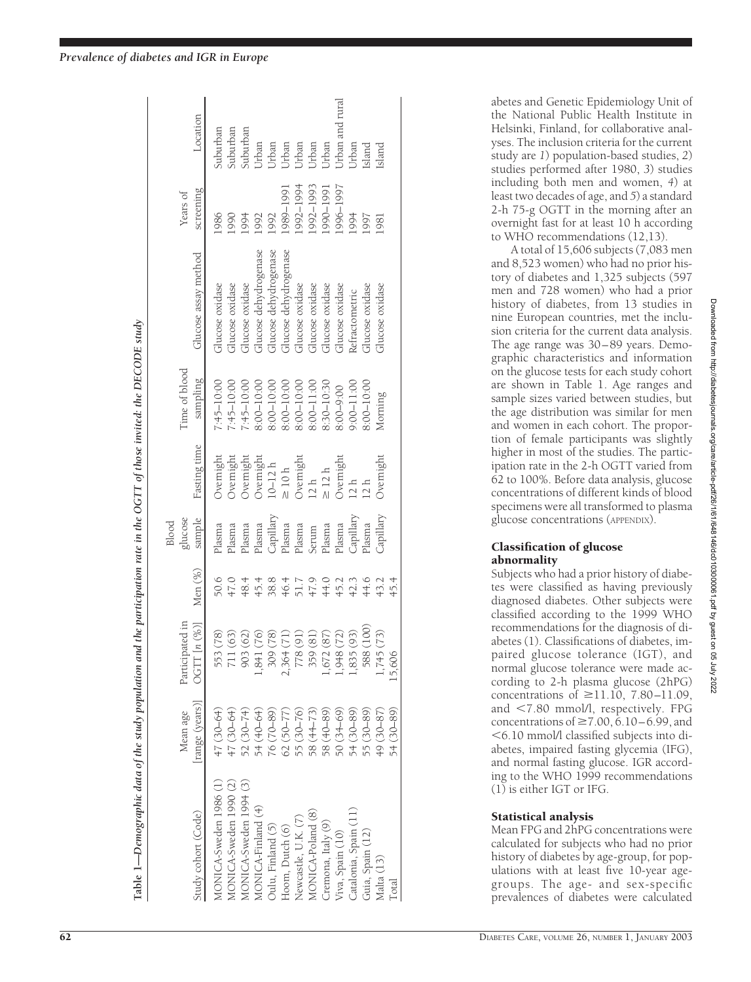| ļ<br>I                                                                                                                               |           |
|--------------------------------------------------------------------------------------------------------------------------------------|-----------|
| ĺ                                                                                                                                    |           |
| ∖<br>$\overline{\phantom{a}}$                                                                                                        |           |
|                                                                                                                                      |           |
| $\frac{1}{2}$<br>֛֛֦֦֦֦֦֦֦֧֪֧֧֧֧֦֧֧֦֧֧֦֧֧֧֧֦֧֧֧֧֛֛֪֧֛֛֛֛֝֘֝֝֬֝֬֝֬֝֬֝֓֟֓֝֬֝֓֝֬֝֓֟֝֬֝֓֝֬֝֓֝֓֝֓֝֬֝֟֓֟֝֬֝֝֬֝֬֝֬֝֜֝֬֝֜<br>֧֪֧֧֛֛֛֛֛֚֚֝֜֜֜ |           |
|                                                                                                                                      |           |
|                                                                                                                                      |           |
|                                                                                                                                      |           |
|                                                                                                                                      |           |
|                                                                                                                                      |           |
|                                                                                                                                      |           |
|                                                                                                                                      |           |
|                                                                                                                                      |           |
|                                                                                                                                      |           |
|                                                                                                                                      |           |
|                                                                                                                                      |           |
|                                                                                                                                      |           |
|                                                                                                                                      |           |
|                                                                                                                                      |           |
|                                                                                                                                      |           |
| $\frac{2}{3}$                                                                                                                        |           |
|                                                                                                                                      |           |
| )<br>)<br>)                                                                                                                          |           |
|                                                                                                                                      |           |
|                                                                                                                                      |           |
| l                                                                                                                                    |           |
| $\overline{\phantom{a}}$                                                                                                             |           |
|                                                                                                                                      |           |
|                                                                                                                                      |           |
|                                                                                                                                      |           |
| $\overline{\phantom{a}}$                                                                                                             |           |
|                                                                                                                                      |           |
|                                                                                                                                      |           |
|                                                                                                                                      |           |
|                                                                                                                                      |           |
|                                                                                                                                      |           |
|                                                                                                                                      |           |
|                                                                                                                                      |           |
|                                                                                                                                      |           |
|                                                                                                                                      |           |
|                                                                                                                                      |           |
|                                                                                                                                      |           |
|                                                                                                                                      |           |
|                                                                                                                                      |           |
|                                                                                                                                      |           |
| an an an an an an                                                                                                                    |           |
|                                                                                                                                      |           |
|                                                                                                                                      |           |
|                                                                                                                                      |           |
|                                                                                                                                      |           |
|                                                                                                                                      |           |
|                                                                                                                                      |           |
|                                                                                                                                      |           |
|                                                                                                                                      |           |
|                                                                                                                                      |           |
|                                                                                                                                      |           |
|                                                                                                                                      |           |
|                                                                                                                                      |           |
|                                                                                                                                      |           |
|                                                                                                                                      |           |
|                                                                                                                                      |           |
|                                                                                                                                      |           |
|                                                                                                                                      |           |
| $\ddot{\phantom{a}}$                                                                                                                 |           |
|                                                                                                                                      |           |
|                                                                                                                                      |           |
|                                                                                                                                      |           |
|                                                                                                                                      |           |
|                                                                                                                                      |           |
|                                                                                                                                      |           |
|                                                                                                                                      |           |
|                                                                                                                                      |           |
|                                                                                                                                      |           |
|                                                                                                                                      |           |
|                                                                                                                                      |           |
|                                                                                                                                      |           |
|                                                                                                                                      |           |
|                                                                                                                                      |           |
|                                                                                                                                      |           |
|                                                                                                                                      |           |
|                                                                                                                                      | ׇ֚֚֬֡֡֡֡֡ |
|                                                                                                                                      |           |
|                                                                                                                                      |           |
|                                                                                                                                      |           |
| <b>Product of Case 1</b>                                                                                                             |           |
| I                                                                                                                                    |           |
| $-$ Dem $\iota$ .                                                                                                                    |           |

 $\vec{d}$ 

**Table 1**

| 711<br>47 (30-64)<br>47 (30-64)<br>52 (30-74)<br>MONICA-Sweden 1990 (2)<br>MONICA-Sweden 1986 (1)<br>MONICA-Sweden 1994 (3) | (63)<br>(62)<br>(76)<br>(78)<br>(78)<br>$309$ (<br>553<br>903<br>1,841 | 50.6<br>47.0<br>48.4<br>45.4<br>38.8 | Plasma    | Fasting time             | sampling      | Glucose assay method  | screening<br>Years of | Location        |
|-----------------------------------------------------------------------------------------------------------------------------|------------------------------------------------------------------------|--------------------------------------|-----------|--------------------------|---------------|-----------------------|-----------------------|-----------------|
|                                                                                                                             |                                                                        |                                      |           | <b>Jvernight</b>         | $145 - 10.00$ | Glucose oxidase       | 1986                  | suburban        |
|                                                                                                                             |                                                                        |                                      | Plasma    | <b>Dvernight</b>         | $-10:000$     | Glucose oxidase       | 0661                  | suburban        |
|                                                                                                                             |                                                                        |                                      | Plasma    | <b>Jvernight</b>         | $145 - 10.00$ | Glucose oxidase       | 1994                  | suburban        |
| 54 (40-64)<br>MONICA-Finland (4)                                                                                            |                                                                        |                                      | Plasma    | <b>Dvernight</b>         | 3:00-10:00    | Glucose dehydrogenase | 1992                  | Jrban           |
| 76 (70–89)<br>Oulu, Finland (5)                                                                                             |                                                                        |                                      | Capillary | $10-12 h$                | 8:00-10:00    | Glucose dehydrogenase | 1992                  | Jrban           |
| $62(50 - 77)$<br>Hoom, Dutch (6)                                                                                            | 2,364 (71)                                                             |                                      | Plasma    |                          | 8:00-10:00    | Glucose dehydrogenase | 1989-1991             | Urban           |
| 55 (30-76)<br>Newcastle, U.K. (7)                                                                                           | 778 (91)                                                               |                                      | Plasma    | $\geq 10 h$<br>Overnight | 8:00-10:00    | Glucose oxidase       | 1992-1994             | Jrban           |
| 58 (44–73)<br>MONICA-Poland (8)                                                                                             | 359 (81)                                                               |                                      | Serum     | 12h                      | 8:00-11:00    | Glucose oxidase       | 1992-1993             | Jrban           |
| 58 (40-89)<br>Cremona, Italy (9)                                                                                            | 1,672(87)                                                              | $40170010$<br>$40170010$             | Plasma    | $\geq 12$ h              | 8:30-10:30    | Glucose oxidase       | 1661-066              | Jrban           |
| 50 (34-69)<br>Viva, Spain (10)                                                                                              | .948(72)                                                               |                                      | Plasma    | <b>Jvernight</b>         | 8:00-9:00     | Glucose oxidase       | 7661-966              | Jrban and rural |
| 54 (30–89)<br>Catalonia, Spain (11)                                                                                         | (93)<br>.835(                                                          |                                      | Capillary | $\frac{1}{2}h$           | $00:11-00$ :  | Refractometric        | 1994                  | Jrban           |
| 55 (30–89)<br>Guia, Spain (12)                                                                                              | (100)<br>588                                                           | 44.6                                 | Plasma    | 2 h                      | \$:00-10:00   | Glucose oxidase       | 1997                  | Island          |
| 49 (30-87)<br>Malta (13)                                                                                                    | (73)<br>1,745                                                          | 43.2                                 | Capillary | Dvernight                | Aoming        | Glucose oxidase       | 1981                  | Island          |
| 15,606<br>54 (30–89)<br>Total                                                                                               |                                                                        | 45.4                                 |           |                          |               |                       |                       |                 |

abetes and Genetic Epidemiology Unit of the National Public Health Institute in Helsinki, Finland, for collaborative analyses. The inclusion criteria for the current study are *1*) population-based studies, *2* ) studies performed after 1980, *3*) studies including both men and women, *4*) at least two decades of age, and *5*) a standard 2-h 75-g OGTT in the morning after an overnight fast for at least 10 h according to WHO recommendations (12,13).

A total of 15,606 subjects (7,083 men and 8,523 women) who had no prior history of diabetes and 1,325 subjects (597 men and 728 women) who had a prior history of diabetes, from 13 studies in nine European countries, met the inclusion criteria for the current data analysis. The age range was 30 –89 years. Demographic characteristics and information on the glucose tests for each study cohort are shown in Table 1. Age ranges and sample sizes varied between studies, but the age distribution was similar for men and women in each cohort. The proportion of female participants was slightly higher in most of the studies. The participation rate in the 2-h OGTT varied from 62 to 100%. Before data analysis, glucose concentrations of different kinds of blood specimens were all transformed to plasma glucose concentrations (APPENDIX).

Downloaded from http://diabetesjournals.org/care/article-pdf/26/1/61/648146/dc0103000061.pdf by guest on 05 July 2022 Downloaded from http://diabetesjournals.org/care/article-pdf/26/1/61/648146/dc0103000061.pdf by guest on 05 July 2022

#### Classification of glucose abnormality

Subjects who had a prior history of diabetes were classified as having previously diagnosed diabetes. Other subjects were classi fied according to the 1999 WHO recommendations for the diagnosis of diabetes (1). Classifications of diabetes, impaired glucose tolerance (IGT), and normal glucose tolerance were made according to 2-h plasma glucose (2hPG) concentrations of  $\geq 11.10$ , 7.80-11.09, and 7.80 mmol/l, respectively. FPG concentrations of  $\geq 7.00, 6.10 - 6.99$ , and 6.10 mmol/l classi fied subjects into diabetes, impaired fasting glycemia (IFG), and normal fasting glucose. IGR according to the WHO 1999 recommendations (1) is either IGT or IFG.

# Statistical analysis

Mean FPG and 2hPG concentrations were calculated for subjects who had no prior history of diabetes by age-group, for populations with at least five 10-year agegroups. The age- and sex-specific prevalences of diabetes were calculated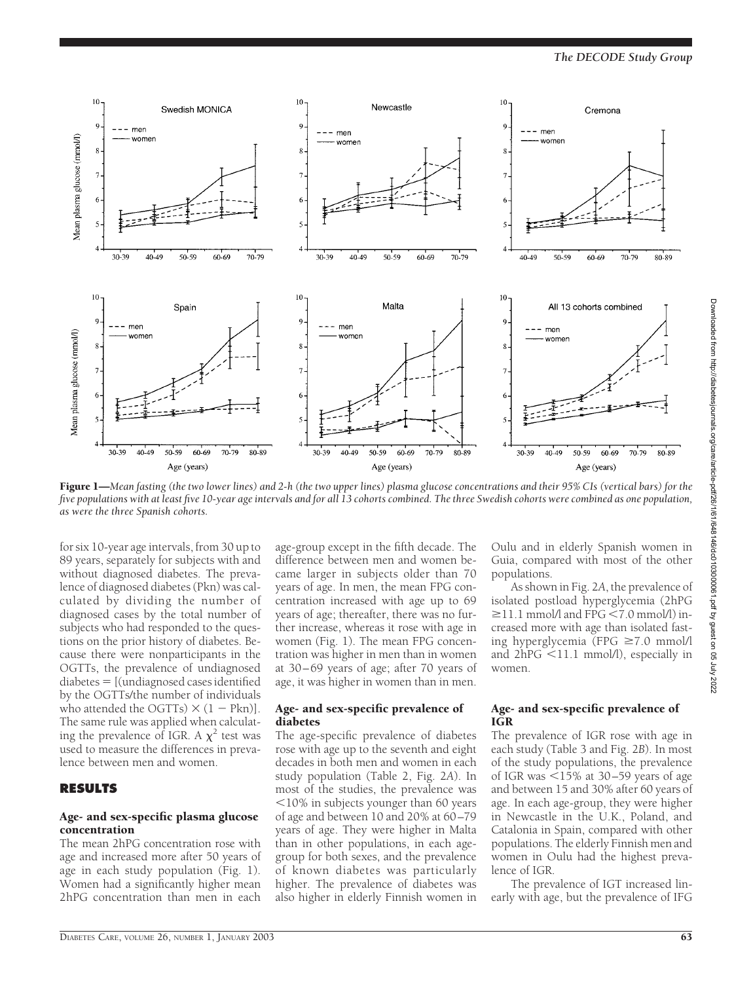

Figure 1—*Mean fasting (the two lower lines) and 2-h (the two upper lines) plasma glucose concentrations and their 95% CIs (vertical bars) for the five populations with at least five 10-year age intervals and for all 13 cohorts combined. The three Swedish cohorts were combined as one population, as were the three Spanish cohorts.*

for six 10-year age intervals, from 30 up to 89 years, separately for subjects with and without diagnosed diabetes. The prevalence of diagnosed diabetes (Pkn) was calculated by dividing the number of diagnosed cases by the total number of subjects who had responded to the questions on the prior history of diabetes. Because there were nonparticipants in the OGTTs, the prevalence of undiagnosed  $diabetes = [(undiagnosed cases identified$ by the OGTTs/the number of individuals who attended the OGTTs)  $\times$  (1 – Pkn)]. The same rule was applied when calculating the prevalence of IGR. A  $\chi^2$  test was used to measure the differences in prevalence between men and women.

# **RESULTS**

#### Age- and sex-specific plasma glucose concentration

The mean 2hPG concentration rose with age and increased more after 50 years of age in each study population (Fig. 1). Women had a significantly higher mean 2hPG concentration than men in each

age-group except in the fifth decade. The difference between men and women became larger in subjects older than 70 years of age. In men, the mean FPG concentration increased with age up to 69 years of age; thereafter, there was no further increase, whereas it rose with age in women (Fig. 1). The mean FPG concentration was higher in men than in women at 30–69 years of age; after 70 years of age, it was higher in women than in men.

#### Age- and sex-specific prevalence of diabetes

The age-specific prevalence of diabetes rose with age up to the seventh and eight decades in both men and women in each study population (Table 2, Fig. 2*A*). In most of the studies, the prevalence was  $10\%$  in subjects younger than 60 years of age and between 10 and 20% at 60–79 years of age. They were higher in Malta than in other populations, in each agegroup for both sexes, and the prevalence of known diabetes was particularly higher. The prevalence of diabetes was also higher in elderly Finnish women in

Oulu and in elderly Spanish women in Guia, compared with most of the other populations.

As shown in Fig. 2*A*, the prevalence of isolated postload hyperglycemia (2hPG  $\geq$ 11.1 mmol/l and FPG  $< 7.0$  mmol/l) increased more with age than isolated fasting hyperglycemia (FPG  $\geq 7.0$  mmol/l and  $2hPG \leq 11.1$  mmol/l), especially in women.

#### Age- and sex-specific prevalence of IGR

The prevalence of IGR rose with age in each study (Table 3 and Fig. 2*B*). In most of the study populations, the prevalence of IGR was  $\leq$ 15% at 30–59 years of age and between 15 and 30% after 60 years of age. In each age-group, they were higher in Newcastle in the U.K., Poland, and Catalonia in Spain, compared with other populations. The elderly Finnish men and women in Oulu had the highest prevalence of IGR.

The prevalence of IGT increased linearly with age, but the prevalence of IFG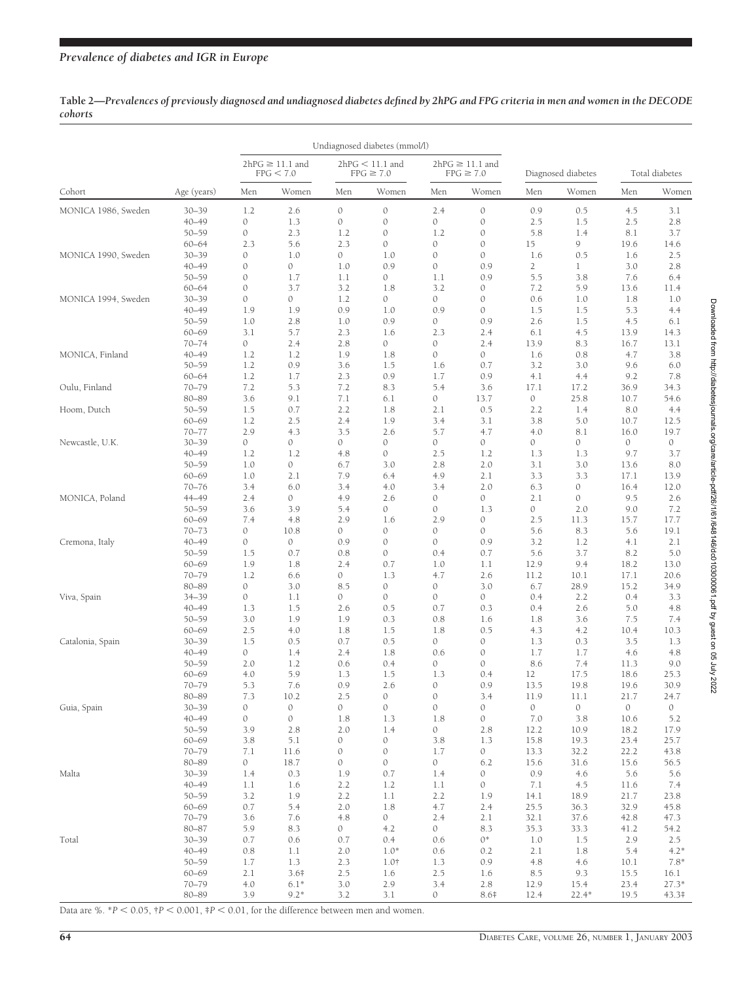**Table 2—***Prevalences of previously diagnosed and undiagnosed diabetes defined by 2hPG and FPG criteria in men and women in the DECODE cohorts*

|                     |                                                                                  |         |                                   |               | Undiagnosed diabetes (mmol/l)      |               |                                       |               |                    |         |                |
|---------------------|----------------------------------------------------------------------------------|---------|-----------------------------------|---------------|------------------------------------|---------------|---------------------------------------|---------------|--------------------|---------|----------------|
|                     |                                                                                  |         | $2hPG \geq 11.1$ and<br>FPG < 7.0 |               | $2hPG < 11.1$ and<br>$FPG \ge 7.0$ |               | $2hPG \geq 11.1$ and<br>$FPG \ge 7.0$ |               | Diagnosed diabetes |         | Total diabetes |
| Cohort              | Age (years)                                                                      | Men     | Women                             | Men           | Women                              | Men           | Women                                 | Men           | Women              | Men     | Women          |
| MONICA 1986, Sweden | $30 - 39$                                                                        | 1.2     | 2.6                               | 0             | 0                                  | 2.4           | 0                                     | 0.9           | 0.5                | 4.5     | 3.1            |
|                     | $40 - 49$                                                                        | 0       | 1.3                               | $\mathcal{O}$ | 0                                  | $\mathcal{O}$ | 0                                     | 2.5           | 1.5                | 2.5     | 2.8            |
|                     | $50 - 59$                                                                        | 0       | 2.3                               | 1.2           | 0                                  | 1.2           | 0                                     | 5.8           | 1.4                | 8.1     | 3.7            |
|                     | $60 - 64$                                                                        | 2.3     | 5.6                               | 2.3           | 0                                  | $\mathbf 0$   | 0                                     | 15            | 9                  | 19.6    | 14.6           |
| MONICA 1990, Sweden | $30 - 39$                                                                        | 0       | 1.0                               | 0             | 1.0                                | $\mathbf 0$   | 0                                     | 1.6           | 0.5                | 1.6     | 2.5            |
|                     | $40 - 49$                                                                        | 0       | $\mathcal{O}$                     | 1.0           | 0.9                                | $\mathbf 0$   | 0.9                                   | $\mathbf{2}$  | $\mathbf{1}$       | 3.0     | 2.8            |
|                     | $50 - 59$                                                                        | 0       | 1.7                               | 1.1           | 0                                  | 1.1           | 0.9                                   | 5.5           | 3.8                | 7.6     | 6.4            |
|                     | $60 - 64$                                                                        | 0       | 3.7                               | 3.2           | 1.8                                | 3.2           | 0                                     | 7.2           | 5.9                | 13.6    | 11.4           |
| MONICA 1994, Sweden | $30 - 39$                                                                        | 0       | $\circ$                           | 1.2           | 0                                  | $\mathcal{O}$ | 0                                     | 0.6           | 1.0                | 1.8     | 1.0            |
|                     | $40 - 49$                                                                        | 1.9     | 1.9                               | 0.9           | 1.0                                | 0.9           | 0                                     | 1.5           | 1.5                | 5.3     | 4.4            |
|                     | $50 - 59$                                                                        | 1.0     | 2.8                               | 1.0           | 0.9                                | $\mathbf 0$   | 0.9                                   | 2.6           | 1.5                | 4.5     | 6.1            |
|                     | $60 - 69$                                                                        | 3.1     | 5.7                               | 2.3           | 1.6                                | 2.3           | 2.4                                   | 6.1           | 4.5                | 13.9    | 14.3           |
|                     | $70 - 74$                                                                        | 0       | 2.4                               | 2.8           | 0                                  | $\mathbf 0$   | 2.4                                   | 13.9          | 8.3                | 16.7    | 13.1           |
| MONICA, Finland     | $40 - 49$                                                                        | 1.2     | 1.2                               | 1.9           | 1.8                                | $\mathcal{O}$ | 0                                     | 1.6           | 0.8                | 4.7     | 3.8            |
|                     | $50 - 59$                                                                        | 1.2     | 0.9                               | 3.6           | 1.5                                | 1.6           | 0.7                                   | 3.2           | 3.0                | 9.6     | 6.0            |
|                     | $60 - 64$                                                                        | 1.2     | 1.7                               | 2.3           | 0.9                                | 1.7           | 0.9                                   | 4.1           | 4.4                | 9.2     | 7.8            |
| Oulu, Finland       | $70 - 79$                                                                        | 7.2     | 5.3                               | 7.2           | 8.3                                | 5.4           | 3.6                                   | 17.1          | 17.2               | 36.9    | 34.3           |
|                     | 80-89                                                                            | 3.6     | 9.1                               | 7.1           | 6.1                                | $\mathcal{O}$ | 13.7                                  | 0             | 25.8               | 10.7    | 54.6           |
| Hoom, Dutch         | $50 - 59$                                                                        | 1.5     | 0.7                               | 2.2           | 1.8                                | 2.1           | 0.5                                   | 2.2           | 1.4                | 8.0     | 4.4            |
|                     | $60 - 69$                                                                        | 1.2     | 2.5                               | 2.4           | 1.9                                | 3.4           | 3.1                                   | 3.8           | 5.0                | 10.7    | 12.5           |
|                     | $70 - 77$                                                                        | 2.9     | 4.3                               | 3.5           | 2.6                                | 5.7           | 4.7                                   | 4.0           | 8.1                | 16.0    | 19.7           |
| Newcastle, U.K.     | $30 - 39$<br>0<br>$\mathcal{O}$<br>0<br>0<br>$40 - 49$<br>1.2<br>1.2<br>4.8<br>0 |         | $\mathcal{O}$                     | $\mathcal{O}$ | $\mathcal{O}$                      | 0             | $\circ$                               | $\mathcal{O}$ |                    |         |                |
|                     |                                                                                  |         |                                   |               |                                    | 2.5           | 1.2                                   | 1.3           | 1.3                | 9.7     | 3.7            |
|                     | $50 - 59$                                                                        | 1.0     | 0                                 | 6.7           | 3.0                                | 2.8           | 2.0                                   | 3.1           | 3.0                | 13.6    | 8.0            |
|                     | $60 - 69$                                                                        | 1.0     | 2.1                               | 7.9           | 6.4                                | 4.9           | 2.1                                   | 3.3           | 3.3                | 17.1    | 13.9           |
|                     | $70 - 76$                                                                        | 3.4     | 6.0                               | 3.4           | 4.0                                | 3.4           | 2.0                                   | 6.3           | 0                  | 16.4    | 12.0           |
| MONICA, Poland      | 44-49                                                                            | 2.4     | $\mathcal{O}$                     | 4.9           | 2.6                                | $\mathbf 0$   | 0                                     | 2.1           | $\circ$            | 9.5     | 2.6            |
|                     | $50 - 59$                                                                        | 3.6     | 3.9                               | 5.4           | 0                                  | $\mathcal{O}$ | 1.3                                   | $\mathcal{O}$ | 2.0                | 9.0     | 7.2            |
|                     | $60 - 69$                                                                        | 7.4     | 4.8                               | 2.9           | 1.6                                | 2.9           | 0                                     | 2.5           | 11.3               | 15.7    | 17.7           |
|                     | $70 - 73$                                                                        | 0       | 10.8                              | $\mathcal{O}$ | 0                                  | $\mathcal{O}$ | 0                                     | 5.6           | 8.3                | 5.6     | 19.1           |
| Cremona, Italy      | $40 - 49$                                                                        | 0       | $\mathcal{O}$                     | 0.9           | 0                                  | $\mathcal{O}$ | 0.9                                   | 3.2           | 1.2                | 4.1     | 2.1            |
|                     | $50 - 59$                                                                        | 1.5     | 0.7                               | 0.8           | 0                                  | 0.4           | 0.7                                   | 5.6           | 3.7                | 8.2     | 5.0            |
|                     | $60 - 69$                                                                        | 1.9     | 1.8                               | 2.4           | 0.7                                | 1.0           | 1.1                                   | 12.9          | 9.4                | 18.2    | 13.0           |
|                     | $70 - 79$                                                                        | 1.2     | 6.6                               | 0             | 1.3                                | 4.7           | 2.6                                   | 11.2          | 10.1               | 17.1    | 20.6           |
|                     | 80-89                                                                            | 0       | 3.0                               | 8.5           | 0                                  | $\mathbf 0$   | 3.0                                   | 6.7           | 28.9               | 15.2    | 34.9           |
| Viva, Spain         | $34 - 39$                                                                        | 0       | 1.1                               | 0             | 0                                  | $\mathcal{O}$ | 0                                     | 0.4           | 2.2                | 0.4     | 3.3            |
|                     | $40 - 49$                                                                        | 1.3     | 1.5                               | 2.6           | 0.5                                | 0.7           | 0.3                                   | 0.4           | 2.6                | 5.0     | 4.8            |
|                     | $50 - 59$                                                                        | 3.0     | 1.9                               | 1.9           | 0.3                                | 0.8           | 1.6                                   | 1.8           | 3.6                | 7.5     | 7.4            |
|                     | $60 - 69$                                                                        | 2.5     | 4.0                               | 1.8           | 1.5                                | 1.8           | 0.5                                   | 4.3           | 4.2                | 10.4    | 10.3           |
| Catalonia, Spain    | $30 - 39$                                                                        | 1.5     | 0.5                               | 0.7           | 0.5                                | $\mathcal{O}$ | 0                                     | 1.3           | 0.3                | 3.5     | 1.3            |
|                     | $40 - 49$                                                                        | 0       | 1.4                               | 2.4           | 1.8                                | 0.6           | 0                                     | 1.7           | 1.7                | 4.6     | 4.8            |
|                     | $50 - 59$                                                                        | 2.0     | 1.2                               | 0.6           | 0.4                                | $\mathbf 0$   | 0                                     | 8.6           | 7.4                | 11.3    | 9.0            |
|                     | $60 - 69$                                                                        | 4.0     | 5.9                               | 1.3           | 1.5                                | 1.3           | 0.4                                   | 12            | 17.5               | 18.6    | 25.3           |
|                     | 70-79                                                                            | 5.3     | 7.6                               | 0.9           | 2.6                                | $\cup$        | 0.9                                   | 13.5          | 19.8               | 19.6    | 30.9           |
|                     | 80-89                                                                            | 7.3     | 10.2                              | 2.5           | 0                                  | $\mathbf 0$   | 3.4                                   | 11.9          | 11.1               | 21.7    | 24.7           |
| Guia, Spain         | $30 - 39$                                                                        | 0       | $\circ$                           | $\mathcal{O}$ | 0                                  | $\circ$       | $\circ$                               | $\circ$       | $\mathcal{O}$      | $\circ$ | $\mathcal{O}$  |
|                     | $40 - 49$                                                                        | $\circ$ | $\mathcal O$                      | $1.8\,$       | 1.3                                | 1.8           | 0                                     | 7.0           | 3.8                | 10.6    | 5.2            |
|                     | $50 - 59$                                                                        | 3.9     | 2.8                               | 2.0           | 1.4                                | $\mathcal{O}$ | 2.8                                   | 12.2          | 10.9               | 18.2    | 17.9           |
|                     | $60 - 69$                                                                        | 3.8     | 5.1                               | 0             | 0                                  | 3.8           | 1.3                                   | 15.8          | 19.3               | 23.4    | 25.7           |
|                     | $70 - 79$                                                                        | 7.1     | 11.6                              | 0             | 0                                  | 1.7           | $\mathcal{O}$                         | 13.3          | 32.2               | 22.2    | 43.8           |
|                     | 80-89                                                                            | 0       | 18.7                              | 0             | 0                                  | $\circ$       | 6.2                                   | 15.6          | 31.6               | 15.6    | 56.5           |
| Malta               | $30 - 39$                                                                        | 1.4     | 0.3                               | 1.9           | 0.7                                | 1.4           | $\circ$                               | 0.9           | 4.6                | 5.6     | 5.6            |
|                     | 40-49                                                                            | 1.1     | 1.6                               | 2.2           | 1.2                                | 1.1           | $\circ$                               | 7.1           | 4.5                | 11.6    | 7.4            |
|                     | $50 - 59$                                                                        | 3.2     | 1.9                               | 2.2           | 1.1                                | 2.2           | 1.9                                   | 14.1          | 18.9               | 21.7    | 23.8           |
|                     | $60 - 69$                                                                        | 0.7     | 5.4                               | 2.0           | 1.8                                | 4.7           | 2.4                                   | 25.5          | 36.3               | 32.9    | 45.8           |
|                     | $70 - 79$                                                                        | 3.6     | 7.6                               | 4.8           | $\mathcal{O}$                      | 2.4           | 2.1                                   | 32.1          | 37.6               | 42.8    | 47.3           |
|                     | $80 - 87$                                                                        | 5.9     | 8.3                               | $\circ$       | 4.2                                | $\mathcal{O}$ | 8.3                                   | 35.3          | 33.3               | 41.2    | 54.2           |
| Total               | $30 - 39$                                                                        | 0.7     | 0.6                               | 0.7           | 0.4                                | 0.6           | $0*$                                  | 1.0           | 1.5                | 2.9     | 2.5            |
|                     | $40 - 49$                                                                        | 0.8     | 1.1                               | 2.0           | $1.0*$                             | 0.6           | 0.2                                   | 2.1           | 1.8                | 5.4     | $4.2*$         |
|                     | $50 - 59$                                                                        | 1.7     | 1.3                               | 2.3           | 1.0 <sup>†</sup>                   | 1.3           | 0.9                                   | 4.8           | 4.6                | 10.1    | $7.8*$         |
|                     | $60 - 69$                                                                        | 2.1     | 3.6 <sup>‡</sup>                  | 2.5           | 1.6                                | 2.5           | 1.6                                   | 8.5           | 9.3                | 15.5    | 16.1           |
|                     | $70 - 79$                                                                        | 4.0     | $6.1*$                            | 3.0           | 2.9                                | 3.4           | 2.8                                   | 12.9          | 15.4               | 23.4    | $27.3*$        |
|                     | 80-89                                                                            | 3.9     | $9.2*$                            | 3.2           | 3.1                                | $\mathcal{O}$ | 8.6‡                                  | 12.4          | $22.4*$            | 19.5    | 43.3‡          |

Data are %.  $*P < 0.05$ ,  $P < 0.001$ ,  $P < 0.01$ , for the difference between men and women.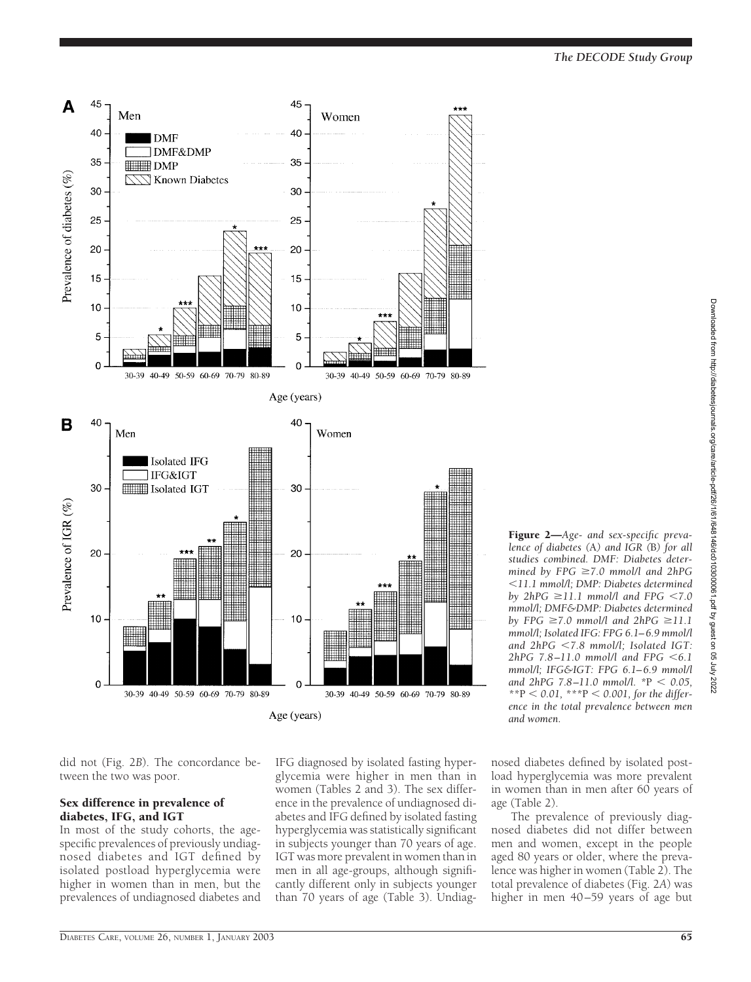

did not (Fig. 2*B*). The concordance between the two was poor.

#### Sex difference in prevalence of diabetes, IFG, and IGT

In most of the study cohorts, the agespecific prevalences of previously undiagnosed diabetes and IGT defined by isolated postload hyperglycemia were higher in women than in men, but the prevalences of undiagnosed diabetes and

IFG diagnosed by isolated fasting hyperglycemia were higher in men than in women (Tables 2 and 3). The sex difference in the prevalence of undiagnosed diabetes and IFG defined by isolated fasting hyperglycemia was statistically significant in subjects younger than 70 years of age. IGT was more prevalent in women than in men in all age-groups, although significantly different only in subjects younger than 70 years of age (Table 3). Undiag-

nosed diabetes defined by isolated postload hyperglycemia was more prevalent in women than in men after 60 years of age (Table 2).

The prevalence of previously diagnosed diabetes did not differ between men and women, except in the people aged 80 years or older, where the prevalence was higher in women (Table 2). The total prevalence of diabetes (Fig. 2*A*) was higher in men 40–59 years of age but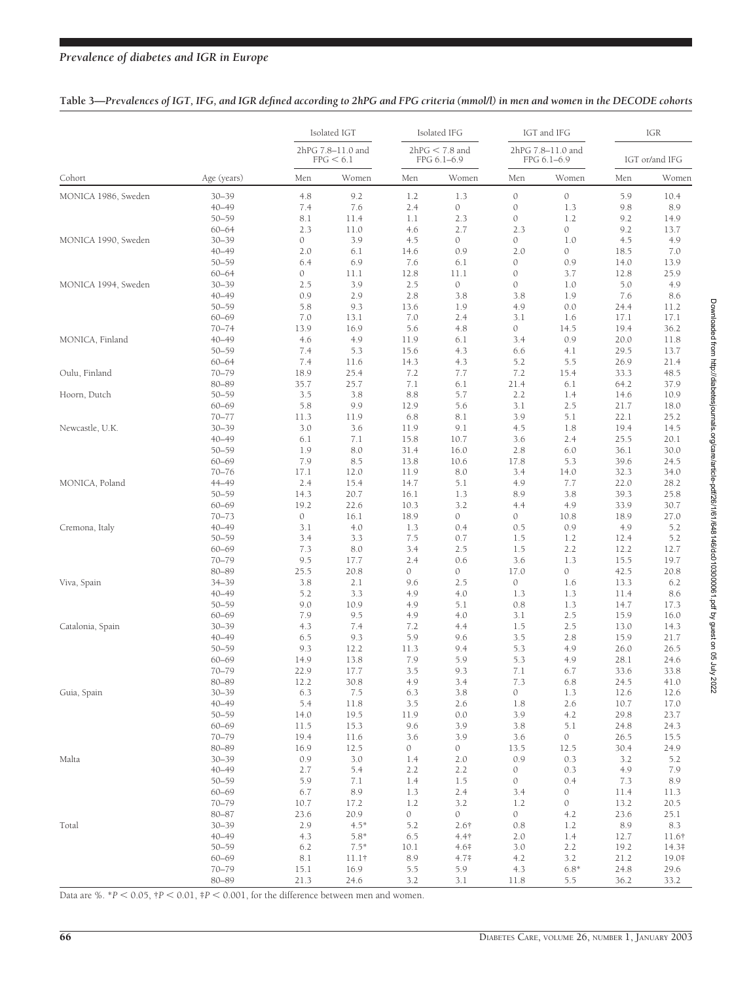# *Prevalence of diabetes and IGR in Europe*

|                     |             |         | Isolated IGT                   |      | Isolated IFG                    |                                                                                                                                                                                                                                                                                                                                                                                                                                                        | IGT and IFG                      |                                                                                                                                                                                                                                                                                                                                                                                        | IGR            |
|---------------------|-------------|---------|--------------------------------|------|---------------------------------|--------------------------------------------------------------------------------------------------------------------------------------------------------------------------------------------------------------------------------------------------------------------------------------------------------------------------------------------------------------------------------------------------------------------------------------------------------|----------------------------------|----------------------------------------------------------------------------------------------------------------------------------------------------------------------------------------------------------------------------------------------------------------------------------------------------------------------------------------------------------------------------------------|----------------|
|                     |             |         | 2hPG 7.8-11.0 and<br>FPG < 6.1 |      | $2hPG < 7.8$ and<br>FPG 6.1-6.9 |                                                                                                                                                                                                                                                                                                                                                                                                                                                        | 2hPG 7.8-11.0 and<br>FPG 6.1-6.9 |                                                                                                                                                                                                                                                                                                                                                                                        | IGT or/and IFG |
| Cohort              | Age (years) | Men     | Women                          | Men  | Women                           | Men                                                                                                                                                                                                                                                                                                                                                                                                                                                    | Women                            | Men                                                                                                                                                                                                                                                                                                                                                                                    | Women          |
| MONICA 1986, Sweden | $30 - 39$   | 4.8     | 9.2                            | 1.2  | 1.3                             | $\mathcal{O}$                                                                                                                                                                                                                                                                                                                                                                                                                                          | $\mathcal{O}$                    | 5.9                                                                                                                                                                                                                                                                                                                                                                                    | 10.4           |
|                     | $40 - 49$   | 7.4     | 7.6                            | 2.4  | $\circ$                         | 0                                                                                                                                                                                                                                                                                                                                                                                                                                                      | 1.3                              | 9.8                                                                                                                                                                                                                                                                                                                                                                                    | 8.9            |
|                     | $50 - 59$   | 8.1     | 11.4                           | 1.1  | 2.3                             | $\mathcal O$                                                                                                                                                                                                                                                                                                                                                                                                                                           | 1.2                              | 9.2                                                                                                                                                                                                                                                                                                                                                                                    | 14.9           |
|                     | $60 - 64$   | 2.3     | 11.0                           | 4.6  | 2.7                             | 2.3                                                                                                                                                                                                                                                                                                                                                                                                                                                    | $\mathcal{O}$                    | 9.2                                                                                                                                                                                                                                                                                                                                                                                    | 13.7           |
| MONICA 1990, Sweden | $30 - 39$   | $\circ$ | 3.9                            | 4.5  | 0                               | 0                                                                                                                                                                                                                                                                                                                                                                                                                                                      | 1.0                              | 4.5                                                                                                                                                                                                                                                                                                                                                                                    | 4.9            |
|                     | $40 - 49$   | 2.0     | 6.1                            | 14.6 | 0.9                             | 2.0                                                                                                                                                                                                                                                                                                                                                                                                                                                    | $\mathcal{O}$                    | 18.5                                                                                                                                                                                                                                                                                                                                                                                   | 7.0            |
|                     | $50 - 59$   | 6.4     | 6.9                            | 7.6  | 6.1                             | $\mathcal{O}$                                                                                                                                                                                                                                                                                                                                                                                                                                          | 0.9                              | 14.0                                                                                                                                                                                                                                                                                                                                                                                   | 13.9           |
|                     | $60 - 64$   | 0       | 11.1                           | 12.8 | 11.1                            | 0                                                                                                                                                                                                                                                                                                                                                                                                                                                      | 3.7                              | 12.8                                                                                                                                                                                                                                                                                                                                                                                   | 25.9           |
| MONICA 1994, Sweden | $30 - 39$   | 2.5     | 3.9                            | 2.5  | $\circ$                         | $\mathcal{O}$                                                                                                                                                                                                                                                                                                                                                                                                                                          | 1.0                              |                                                                                                                                                                                                                                                                                                                                                                                        | 4.9            |
|                     | $40 - 49$   | 0.9     | 2.9                            | 2.8  | 3.8                             | 3.8                                                                                                                                                                                                                                                                                                                                                                                                                                                    | 1.9                              |                                                                                                                                                                                                                                                                                                                                                                                        | 8.6            |
|                     | $50 - 59$   | 5.8     | 9.3                            | 13.6 | 1.9                             | 4.9                                                                                                                                                                                                                                                                                                                                                                                                                                                    | 0.0                              | 5.0<br>7.6<br>24.4<br>17.1<br>19.4<br>20.0<br>29.5<br>26.9<br>33.3<br>64.2<br>14.6<br>21.7<br>22.1<br>19.4<br>25.5<br>36.1<br>39.6<br>32.3<br>22.0<br>39.3<br>33.9<br>18.9<br>4.9<br>12.4<br>12.2<br>15.5<br>42.5<br>13.3<br>11.4<br>14.7<br>15.9<br>13.0<br>15.9<br>26.0<br>28.1<br>33.6<br>24.5<br>12.6<br>10.7<br>29.8<br>24.8<br>26.5<br>30.4<br>3.2<br>4.9<br>7.3<br>11.4<br>13.2 | 11.2           |
|                     | $60 - 69$   | 7.0     | 13.1                           | 7.0  | 2.4                             | 3.1                                                                                                                                                                                                                                                                                                                                                                                                                                                    | 1.6                              |                                                                                                                                                                                                                                                                                                                                                                                        | 17.1           |
|                     | $70 - 74$   | 13.9    | 16.9                           | 5.6  | 4.8                             | 0                                                                                                                                                                                                                                                                                                                                                                                                                                                      | 14.5                             |                                                                                                                                                                                                                                                                                                                                                                                        | 36.2           |
| MONICA, Finland     | $40 - 49$   | 4.6     | 4.9                            | 11.9 |                                 | 6.1<br>3.4<br>0.9<br>11.8<br>4.3<br>6.6<br>4.1<br>13.7<br>4.3<br>5.2<br>5.5<br>21.4<br>7.7<br>7.2<br>15.4<br>48.5<br>6.1<br>21.4<br>6.1<br>37.9<br>5.7<br>2.2<br>1.4<br>10.9<br>5.6<br>3.1<br>2.5<br>18.0<br>8.1<br>3.9<br>5.1<br>25.2<br>9.1<br>1.8<br>14.5<br>4.5<br>10.7<br>2.4<br>20.1<br>3.6<br>16.0<br>2.8<br>6.0<br>30.0<br>10.6<br>17.8<br>5.3<br>24.5<br>8.0<br>3.4<br>14.0<br>34.0<br>5.1<br>4.9<br>28.2<br>7.7<br>1.3<br>8.9<br>3.8<br>25.8 |                                  |                                                                                                                                                                                                                                                                                                                                                                                        |                |
|                     | $50 - 59$   | 7.4     | 5.3                            | 15.6 |                                 |                                                                                                                                                                                                                                                                                                                                                                                                                                                        |                                  |                                                                                                                                                                                                                                                                                                                                                                                        |                |
|                     | $60 - 64$   | 7.4     | 11.6                           | 14.3 |                                 |                                                                                                                                                                                                                                                                                                                                                                                                                                                        |                                  |                                                                                                                                                                                                                                                                                                                                                                                        |                |
| Oulu, Finland       | $70 - 79$   | 18.9    | 25.4                           | 7.2  |                                 |                                                                                                                                                                                                                                                                                                                                                                                                                                                        |                                  |                                                                                                                                                                                                                                                                                                                                                                                        |                |
|                     | 80-89       | 35.7    | 25.7                           | 7.1  |                                 |                                                                                                                                                                                                                                                                                                                                                                                                                                                        |                                  |                                                                                                                                                                                                                                                                                                                                                                                        |                |
| Hoorn, Dutch        | $50 - 59$   | 3.5     | 3.8                            | 8.8  |                                 |                                                                                                                                                                                                                                                                                                                                                                                                                                                        |                                  |                                                                                                                                                                                                                                                                                                                                                                                        |                |
|                     | $60 - 69$   | 5.8     | 9.9                            | 12.9 |                                 |                                                                                                                                                                                                                                                                                                                                                                                                                                                        |                                  |                                                                                                                                                                                                                                                                                                                                                                                        |                |
|                     | $70 - 77$   | 11.3    | 11.9                           | 6.8  |                                 |                                                                                                                                                                                                                                                                                                                                                                                                                                                        |                                  |                                                                                                                                                                                                                                                                                                                                                                                        |                |
| Newcastle, U.K.     | $30 - 39$   | 3.0     | 3.6                            | 11.9 |                                 |                                                                                                                                                                                                                                                                                                                                                                                                                                                        |                                  |                                                                                                                                                                                                                                                                                                                                                                                        |                |
|                     | $40 - 49$   | 6.1     | 7.1                            | 15.8 |                                 |                                                                                                                                                                                                                                                                                                                                                                                                                                                        |                                  |                                                                                                                                                                                                                                                                                                                                                                                        |                |
|                     | $50 - 59$   | 1.9     | 8.0                            | 31.4 |                                 |                                                                                                                                                                                                                                                                                                                                                                                                                                                        |                                  |                                                                                                                                                                                                                                                                                                                                                                                        |                |
|                     | $60 - 69$   | 7.9     | 8.5                            | 13.8 |                                 |                                                                                                                                                                                                                                                                                                                                                                                                                                                        |                                  |                                                                                                                                                                                                                                                                                                                                                                                        |                |
|                     | $70 - 76$   | 17.1    | 12.0                           | 11.9 |                                 |                                                                                                                                                                                                                                                                                                                                                                                                                                                        |                                  |                                                                                                                                                                                                                                                                                                                                                                                        |                |
| MONICA, Poland      | 44-49       | 2.4     | 15.4                           | 14.7 |                                 |                                                                                                                                                                                                                                                                                                                                                                                                                                                        |                                  |                                                                                                                                                                                                                                                                                                                                                                                        |                |
|                     | $50 - 59$   | 14.3    | 20.7                           | 16.1 |                                 |                                                                                                                                                                                                                                                                                                                                                                                                                                                        |                                  |                                                                                                                                                                                                                                                                                                                                                                                        |                |
|                     | $60 - 69$   | 19.2    | 22.6                           | 10.3 | 3.2                             | 4.4                                                                                                                                                                                                                                                                                                                                                                                                                                                    | 4.9                              |                                                                                                                                                                                                                                                                                                                                                                                        | 30.7           |
|                     | $70 - 73$   | $\circ$ | 16.1                           | 18.9 | 0                               | $\mathcal{O}$                                                                                                                                                                                                                                                                                                                                                                                                                                          | 10.8                             |                                                                                                                                                                                                                                                                                                                                                                                        | 27.0           |
| Cremona, Italy      | $40 - 49$   | 3.1     | 4.0                            | 1.3  | 0.4                             | 0.5                                                                                                                                                                                                                                                                                                                                                                                                                                                    | 0.9                              |                                                                                                                                                                                                                                                                                                                                                                                        | 5.2            |
|                     | $50 - 59$   | 3.4     | 3.3                            | 7.5  | 0.7                             | 1.5                                                                                                                                                                                                                                                                                                                                                                                                                                                    | 1.2                              |                                                                                                                                                                                                                                                                                                                                                                                        | 5.2            |
|                     | $60 - 69$   | 7.3     | 8.0                            | 3.4  | 2.5                             | 1.5                                                                                                                                                                                                                                                                                                                                                                                                                                                    | 2.2                              | 23.6<br>8.9<br>12.7<br>19.2<br>21.2                                                                                                                                                                                                                                                                                                                                                    | 12.7           |
|                     | $70 - 79$   | 9.5     | 17.7                           | 2.4  | 0.6                             | 3.6                                                                                                                                                                                                                                                                                                                                                                                                                                                    | 1.3                              |                                                                                                                                                                                                                                                                                                                                                                                        | 19.7           |
|                     | 80-89       | 25.5    | 20.8                           | 0    | 0                               | 17.0                                                                                                                                                                                                                                                                                                                                                                                                                                                   | $\mathcal{O}$                    |                                                                                                                                                                                                                                                                                                                                                                                        | 20.8           |
| Viva, Spain         | 34-39       | 3.8     | 2.1                            | 9.6  | 2.5                             | 0                                                                                                                                                                                                                                                                                                                                                                                                                                                      | 1.6                              |                                                                                                                                                                                                                                                                                                                                                                                        | 6.2            |
|                     | $40 - 49$   | 5.2     | 3.3                            | 4.9  | 4.0                             | 1.3                                                                                                                                                                                                                                                                                                                                                                                                                                                    | 1.3                              |                                                                                                                                                                                                                                                                                                                                                                                        | 8.6            |
|                     | $50 - 59$   | 9.0     | 10.9                           | 4.9  | 5.1                             | 0.8                                                                                                                                                                                                                                                                                                                                                                                                                                                    | 1.3                              |                                                                                                                                                                                                                                                                                                                                                                                        | 17.3           |
|                     | $60 - 69$   | 7.9     | 9.5                            | 4.9  | 4.0                             | 3.1                                                                                                                                                                                                                                                                                                                                                                                                                                                    | 2.5                              |                                                                                                                                                                                                                                                                                                                                                                                        | 16.0           |
| Catalonia, Spain    | $30 - 39$   | 4.3     | 7.4                            | 7.2  | 4.4                             | 1.5                                                                                                                                                                                                                                                                                                                                                                                                                                                    | 2.5                              |                                                                                                                                                                                                                                                                                                                                                                                        | 14.3           |
|                     | $40 - 49$   | 6.5     | 9.3                            | 5.9  | 9.6                             | 3.5                                                                                                                                                                                                                                                                                                                                                                                                                                                    | 2.8                              |                                                                                                                                                                                                                                                                                                                                                                                        | 21.7           |
|                     | $50 - 59$   | 9.3     | 12.2                           | 11.3 | 9.4                             | 5.3                                                                                                                                                                                                                                                                                                                                                                                                                                                    | 4.9                              |                                                                                                                                                                                                                                                                                                                                                                                        | 26.5           |
|                     | $60 - 69$   | 14.9    | 13.8                           | 7.9  | 5.9                             | 5.3                                                                                                                                                                                                                                                                                                                                                                                                                                                    | 4.9                              |                                                                                                                                                                                                                                                                                                                                                                                        | 24.6           |
|                     | $70 - 79$   | 22.9    | 17.7                           | 3.5  | 9.3                             | $7.1\,$                                                                                                                                                                                                                                                                                                                                                                                                                                                | 6.7                              |                                                                                                                                                                                                                                                                                                                                                                                        | 33.8           |
|                     | 80-89       | 12.2    | 30.8                           | 4.9  | 3.4                             | 7.3                                                                                                                                                                                                                                                                                                                                                                                                                                                    | 6.8                              |                                                                                                                                                                                                                                                                                                                                                                                        | 41.0           |
| Guia, Spain         | $30 - 39$   | 6.3     | 7.5                            | 6.3  | 3.8                             | $\circ$                                                                                                                                                                                                                                                                                                                                                                                                                                                | 1.3                              |                                                                                                                                                                                                                                                                                                                                                                                        | 12.6           |
|                     | 40-49       | 5.4     | 11.8                           | 3.5  | 2.6                             | 1.8                                                                                                                                                                                                                                                                                                                                                                                                                                                    | 2.6                              |                                                                                                                                                                                                                                                                                                                                                                                        | 17.0           |
|                     | $50 - 59$   | 14.0    | 19.5                           | 11.9 | 0.0                             | 3.9                                                                                                                                                                                                                                                                                                                                                                                                                                                    | 4.2                              |                                                                                                                                                                                                                                                                                                                                                                                        | 23.7           |
|                     | $60 - 69$   | 11.5    | 15.3                           | 9.6  | 3.9                             | 3.8                                                                                                                                                                                                                                                                                                                                                                                                                                                    | 5.1                              |                                                                                                                                                                                                                                                                                                                                                                                        | 24.3           |
|                     | $70 - 79$   | 19.4    | 11.6                           | 3.6  | 3.9                             | 3.6                                                                                                                                                                                                                                                                                                                                                                                                                                                    | $\circ$                          |                                                                                                                                                                                                                                                                                                                                                                                        | 15.5           |
|                     | 80-89       | 16.9    | 12.5                           | 0    | $\mathcal{O}$                   | 13.5                                                                                                                                                                                                                                                                                                                                                                                                                                                   | 12.5                             |                                                                                                                                                                                                                                                                                                                                                                                        | 24.9           |
| Malta               | $30 - 39$   | 0.9     | 3.0                            | 1.4  | 2.0                             | 0.9                                                                                                                                                                                                                                                                                                                                                                                                                                                    | 0.3                              |                                                                                                                                                                                                                                                                                                                                                                                        | $5.2$          |
|                     | $40 - 49$   | 2.7     | 5.4                            | 2.2  | 2.2                             | $\boldsymbol{0}$                                                                                                                                                                                                                                                                                                                                                                                                                                       | 0.3                              |                                                                                                                                                                                                                                                                                                                                                                                        | 7.9            |
|                     | $50 - 59$   | 5.9     | $7.1\,$                        | 1.4  | 1.5                             | $\mathcal{O}$                                                                                                                                                                                                                                                                                                                                                                                                                                          | 0.4                              |                                                                                                                                                                                                                                                                                                                                                                                        | 8.9            |
|                     | $60 - 69$   | 6.7     | 8.9                            | 1.3  | 2.4                             | 3.4                                                                                                                                                                                                                                                                                                                                                                                                                                                    | $\mathcal{O}$                    |                                                                                                                                                                                                                                                                                                                                                                                        | 11.3           |
|                     | $70 - 79$   | 10.7    | 17.2                           | 1.2  | 3.2                             | 1.2                                                                                                                                                                                                                                                                                                                                                                                                                                                    | $\circ$                          |                                                                                                                                                                                                                                                                                                                                                                                        | 20.5           |
|                     | $80 - 87$   | 23.6    | 20.9                           | 0    | $\circ$                         | $\circ$                                                                                                                                                                                                                                                                                                                                                                                                                                                | 4.2                              |                                                                                                                                                                                                                                                                                                                                                                                        | 25.1           |
| Total               | $30 - 39$   | 2.9     | $4.5*$                         | 5.2  | 2.6 <sup>†</sup>                | 0.8                                                                                                                                                                                                                                                                                                                                                                                                                                                    | 1.2                              |                                                                                                                                                                                                                                                                                                                                                                                        | 8.3            |
|                     | 40-49       | 4.3     | $5.8*$                         | 6.5  | $4.4$ †                         | 2.0                                                                                                                                                                                                                                                                                                                                                                                                                                                    | 1.4                              |                                                                                                                                                                                                                                                                                                                                                                                        | 11.6†          |
|                     | $50 - 59$   | 6.2     | $7.5*$                         | 10.1 | $4.6*$                          | 3.0                                                                                                                                                                                                                                                                                                                                                                                                                                                    | 2.2                              |                                                                                                                                                                                                                                                                                                                                                                                        | 14.3‡          |
|                     | $60 - 69$   | 8.1     | $11.1\dagger$                  | 8.9  | $4.7*$                          | 4.2                                                                                                                                                                                                                                                                                                                                                                                                                                                    | 3.2                              |                                                                                                                                                                                                                                                                                                                                                                                        | 19.0‡          |
|                     | $70 - 79$   | 15.1    | 16.9                           | 5.5  | 5.9                             | 4.3                                                                                                                                                                                                                                                                                                                                                                                                                                                    | $6.8*$                           | 24.8                                                                                                                                                                                                                                                                                                                                                                                   | 29.6           |
|                     | 80-89       | 21.3    | 24.6                           | 3.2  | 3.1                             | 11.8                                                                                                                                                                                                                                                                                                                                                                                                                                                   | 5.5                              | 36.2                                                                                                                                                                                                                                                                                                                                                                                   | 33.2           |

|  |  |  |  |  | Table 3-Prevalences of IGT, IFG, and IGR defined according to 2hPG and FPG criteria (mmol/l) in men and women in the DECODE cohorts |  |  |  |
|--|--|--|--|--|-------------------------------------------------------------------------------------------------------------------------------------|--|--|--|
|--|--|--|--|--|-------------------------------------------------------------------------------------------------------------------------------------|--|--|--|

Data are %.  $*P < 0.05$ ,  $\dagger P < 0.01$ ,  $\dagger P < 0.001$ , for the difference between men and women.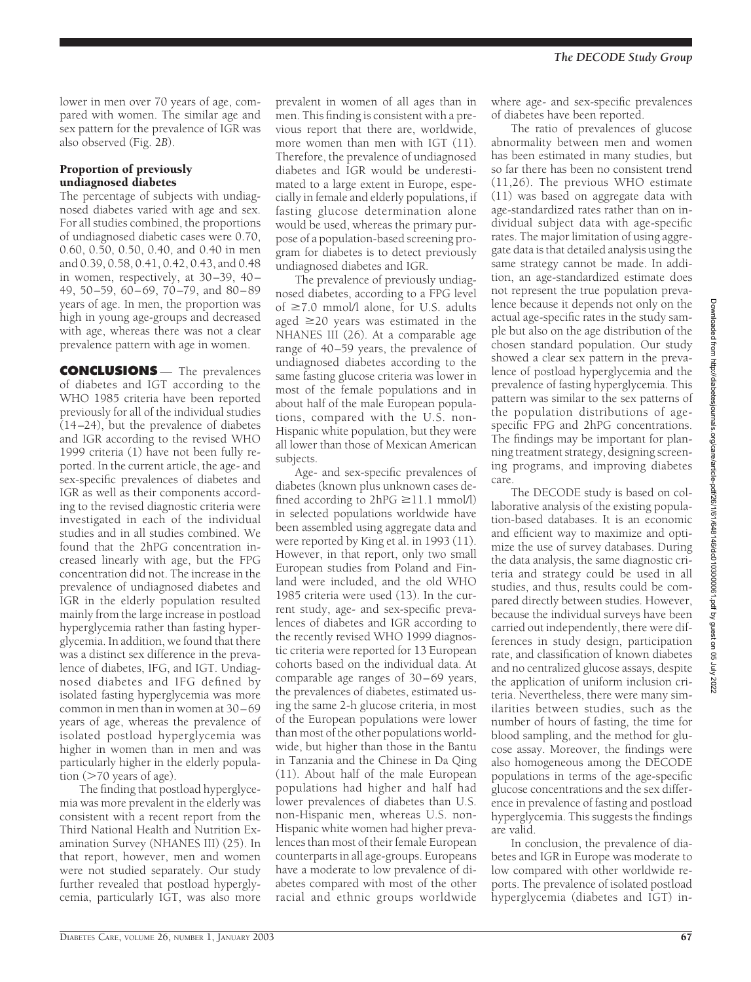lower in men over 70 years of age, compared with women. The similar age and sex pattern for the prevalence of IGR was also observed (Fig. 2*B*).

# Proportion of previously undiagnosed diabetes

The percentage of subjects with undiagnosed diabetes varied with age and sex. For all studies combined, the proportions of undiagnosed diabetic cases were 0.70, 0.60, 0.50, 0.50, 0.40, and 0.40 in men and 0.39, 0.58, 0.41, 0.42, 0.43, and 0.48 in women, respectively, at 30–39, 40– 49, 50–59, 60–69, 70–79, and 80–89 years of age. In men, the proportion was high in young age-groups and decreased with age, whereas there was not a clear prevalence pattern with age in women.

**CONCLUSIONS** — The prevalences of diabetes and IGT according to the WHO 1985 criteria have been reported previously for all of the individual studies (14–24), but the prevalence of diabetes and IGR according to the revised WHO 1999 criteria (1) have not been fully reported. In the current article, the age- and sex-specific prevalences of diabetes and IGR as well as their components according to the revised diagnostic criteria were investigated in each of the individual studies and in all studies combined. We found that the 2hPG concentration increased linearly with age, but the FPG concentration did not. The increase in the prevalence of undiagnosed diabetes and IGR in the elderly population resulted mainly from the large increase in postload hyperglycemia rather than fasting hyperglycemia. In addition, we found that there was a distinct sex difference in the prevalence of diabetes, IFG, and IGT. Undiagnosed diabetes and IFG defined by isolated fasting hyperglycemia was more common in men than in women at 30–69 years of age, whereas the prevalence of isolated postload hyperglycemia was higher in women than in men and was particularly higher in the elderly popula $tion$  ( $>70$  years of age).

The finding that postload hyperglycemia was more prevalent in the elderly was consistent with a recent report from the Third National Health and Nutrition Examination Survey (NHANES III) (25). In that report, however, men and women were not studied separately. Our study further revealed that postload hyperglycemia, particularly IGT, was also more

prevalent in women of all ages than in men. This finding is consistent with a previous report that there are, worldwide, more women than men with IGT (11). Therefore, the prevalence of undiagnosed diabetes and IGR would be underestimated to a large extent in Europe, especially in female and elderly populations, if fasting glucose determination alone would be used, whereas the primary purpose of a population-based screening program for diabetes is to detect previously undiagnosed diabetes and IGR.

The prevalence of previously undiagnosed diabetes, according to a FPG level of  $\geq 7.0$  mmol/l alone, for U.S. adults aged  $\geq$ 20 years was estimated in the NHANES III (26). At a comparable age range of 40–59 years, the prevalence of undiagnosed diabetes according to the same fasting glucose criteria was lower in most of the female populations and in about half of the male European populations, compared with the U.S. non-Hispanic white population, but they were all lower than those of Mexican American subjects.

Age- and sex-specific prevalences of diabetes (known plus unknown cases defined according to  $2hPG \ge 11.1$  mmol/l) in selected populations worldwide have been assembled using aggregate data and were reported by King et al. in 1993 (11). However, in that report, only two small European studies from Poland and Finland were included, and the old WHO 1985 criteria were used (13). In the current study, age- and sex-specific prevalences of diabetes and IGR according to the recently revised WHO 1999 diagnostic criteria were reported for 13 European cohorts based on the individual data. At comparable age ranges of 30–69 years, the prevalences of diabetes, estimated using the same 2-h glucose criteria, in most of the European populations were lower than most of the other populations worldwide, but higher than those in the Bantu in Tanzania and the Chinese in Da Qing (11). About half of the male European populations had higher and half had lower prevalences of diabetes than U.S. non-Hispanic men, whereas U.S. non-Hispanic white women had higher prevalences than most of their female European counterparts in all age-groups. Europeans have a moderate to low prevalence of diabetes compared with most of the other racial and ethnic groups worldwide

where age- and sex-specific prevalences of diabetes have been reported.

The ratio of prevalences of glucose abnormality between men and women has been estimated in many studies, but so far there has been no consistent trend (11,26). The previous WHO estimate (11) was based on aggregate data with age-standardized rates rather than on individual subject data with age-specific rates. The major limitation of using aggregate data is that detailed analysis using the same strategy cannot be made. In addition, an age-standardized estimate does not represent the true population prevalence because it depends not only on the actual age-specific rates in the study sample but also on the age distribution of the chosen standard population. Our study showed a clear sex pattern in the prevalence of postload hyperglycemia and the prevalence of fasting hyperglycemia. This pattern was similar to the sex patterns of the population distributions of agespecific FPG and 2hPG concentrations. The findings may be important for planning treatment strategy, designing screening programs, and improving diabetes care.

The DECODE study is based on collaborative analysis of the existing population-based databases. It is an economic and efficient way to maximize and optimize the use of survey databases. During the data analysis, the same diagnostic criteria and strategy could be used in all studies, and thus, results could be compared directly between studies. However, because the individual surveys have been carried out independently, there were differences in study design, participation rate, and classification of known diabetes and no centralized glucose assays, despite the application of uniform inclusion criteria. Nevertheless, there were many similarities between studies, such as the number of hours of fasting, the time for blood sampling, and the method for glucose assay. Moreover, the findings were also homogeneous among the DECODE populations in terms of the age-specific glucose concentrations and the sex difference in prevalence of fasting and postload hyperglycemia. This suggests the findings are valid.

In conclusion, the prevalence of diabetes and IGR in Europe was moderate to low compared with other worldwide reports. The prevalence of isolated postload hyperglycemia (diabetes and IGT) in-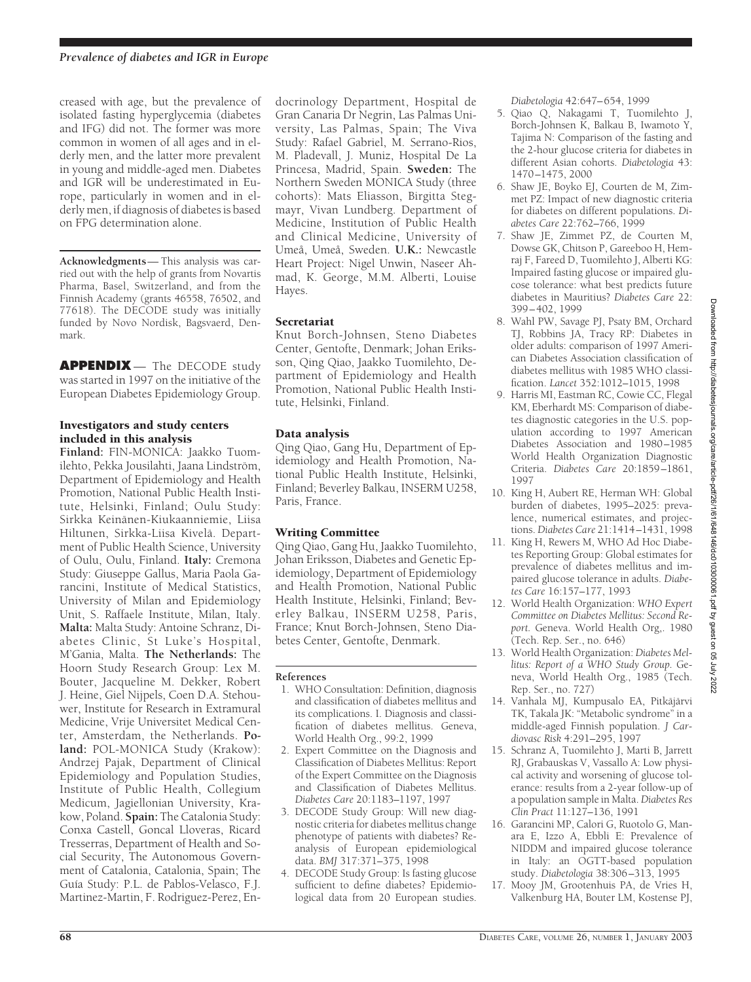#### *Prevalence of diabetes and IGR in Europe*

creased with age, but the prevalence of isolated fasting hyperglycemia (diabetes and IFG) did not. The former was more common in women of all ages and in elderly men, and the latter more prevalent in young and middle-aged men. Diabetes and IGR will be underestimated in Europe, particularly in women and in elderly men, if diagnosis of diabetes is based on FPG determination alone.

**Acknowledgments**— This analysis was carried out with the help of grants from Novartis Pharma, Basel, Switzerland, and from the Finnish Academy (grants 46558, 76502, and 77618). The DECODE study was initially funded by Novo Nordisk, Bagsvaerd, Denmark.

**APPENDIX** — The DECODE study was started in 1997 on the initiative of the European Diabetes Epidemiology Group.

#### Investigators and study centers included in this analysis

**Finland:** FIN-MONICA: Jaakko Tuomilehto, Pekka Jousilahti, Jaana Lindström, Department of Epidemiology and Health Promotion, National Public Health Institute, Helsinki, Finland; Oulu Study: Sirkka Keinänen-Kiukaanniemie, Liisa Hiltunen, Sirkka-Liisa Kivelä. Department of Public Health Science, University of Oulu, Oulu, Finland. **Italy:** Cremona Study: Giuseppe Gallus, Maria Paola Garancini, Institute of Medical Statistics, University of Milan and Epidemiology Unit, S. Raffaele Institute, Milan, Italy. **Malta:** Malta Study: Antoine Schranz, Diabetes Clinic, St Luke's Hospital, M'Gania, Malta. **The Netherlands:** The Hoorn Study Research Group: Lex M. Bouter, Jacqueline M. Dekker, Robert J. Heine, Giel Nijpels, Coen D.A. Stehouwer, Institute for Research in Extramural Medicine, Vrije Universitet Medical Center, Amsterdam, the Netherlands. **Poland:** POL-MONICA Study (Krakow): Andrzej Pajak, Department of Clinical Epidemiology and Population Studies, Institute of Public Health, Collegium Medicum, Jagiellonian University, Krakow, Poland. **Spain:** The Catalonia Study: Conxa Castell, Goncal Lloveras, Ricard Tresserras, Department of Health and Social Security, The Autonomous Government of Catalonia, Catalonia, Spain; The Guía Study: P.L. de Pablos-Velasco, F.J. Martinez-Martin, F. Rodriguez-Perez, Endocrinology Department, Hospital de Gran Canaria Dr Negrin, Las Palmas University, Las Palmas, Spain; The Viva Study: Rafael Gabriel, M. Serrano-Rios, M. Pladevall, J. Muniz, Hospital De La Princesa, Madrid, Spain. **Sweden:** The Northern Sweden MONICA Study (three cohorts): Mats Eliasson, Birgitta Stegmayr, Vivan Lundberg. Department of Medicine, Institution of Public Health and Clinical Medicine, University of Umeå, Umeå, Sweden. **U.K.:** Newcastle Heart Project: Nigel Unwin, Naseer Ahmad, K. George, M.M. Alberti, Louise Hayes.

#### Secretariat

Knut Borch-Johnsen, Steno Diabetes Center, Gentofte, Denmark; Johan Eriksson, Qing Qiao, Jaakko Tuomilehto, Department of Epidemiology and Health Promotion, National Public Health Institute, Helsinki, Finland.

### Data analysis

Qing Qiao, Gang Hu, Department of Epidemiology and Health Promotion, National Public Health Institute, Helsinki, Finland; Beverley Balkau, INSERM U258, Paris, France.

# Writing Committee

Qing Qiao, Gang Hu, Jaakko Tuomilehto, Johan Eriksson, Diabetes and Genetic Epidemiology, Department of Epidemiology and Health Promotion, National Public Health Institute, Helsinki, Finland; Beverley Balkau, INSERM U258, Paris, France; Knut Borch-Johnsen, Steno Diabetes Center, Gentofte, Denmark.

# **References**

- 1. WHO Consultation: Definition, diagnosis and classification of diabetes mellitus and its complications. I. Diagnosis and classification of diabetes mellitus. Geneva, World Health Org., 99:2, 1999
- 2. Expert Committee on the Diagnosis and Classification of Diabetes Mellitus: Report of the Expert Committee on the Diagnosis and Classification of Diabetes Mellitus. *Diabetes Care* 20:1183–1197, 1997
- 3. DECODE Study Group: Will new diagnostic criteria for diabetes mellitus change phenotype of patients with diabetes? Reanalysis of European epidemiological data. *BMJ* 317:371–375, 1998
- 4. DECODE Study Group: Is fasting glucose sufficient to define diabetes? Epidemiological data from 20 European studies.

*Diabetologia* 42:647–654, 1999

- 5. Qiao Q, Nakagami T, Tuomilehto J, Borch-Johnsen K, Balkau B, Iwamoto Y, Tajima N: Comparison of the fasting and the 2-hour glucose criteria for diabetes in different Asian cohorts. *Diabetologia* 43: 1470–1475, 2000
- 6. Shaw JE, Boyko EJ, Courten de M, Zimmet PZ: Impact of new diagnostic criteria for diabetes on different populations. *Diabetes Care* 22:762–766, 1999
- 7. Shaw JE, Zimmet PZ, de Courten M, Dowse GK, Chitson P, Gareeboo H, Hemraj F, Fareed D, Tuomilehto J, Alberti KG: Impaired fasting glucose or impaired glucose tolerance: what best predicts future diabetes in Mauritius? *Diabetes Care* 22: 399–402, 1999
- 8. Wahl PW, Savage PJ, Psaty BM, Orchard TJ, Robbins JA, Tracy RP: Diabetes in older adults: comparison of 1997 American Diabetes Association classification of diabetes mellitus with 1985 WHO classification. *Lancet* 352:1012–1015, 1998
- 9. Harris MI, Eastman RC, Cowie CC, Flegal KM, Eberhardt MS: Comparison of diabetes diagnostic categories in the U.S. population according to 1997 American Diabetes Association and 1980–1985 World Health Organization Diagnostic Criteria. *Diabetes Care* 20:1859–1861, 1997
- 10. King H, Aubert RE, Herman WH: Global burden of diabetes, 1995–2025: prevalence, numerical estimates, and projections. *Diabetes Care* 21:1414–1431, 1998
- 11. King H, Rewers M, WHO Ad Hoc Diabetes Reporting Group: Global estimates for prevalence of diabetes mellitus and impaired glucose tolerance in adults. *Diabetes Care* 16:157–177, 1993
- 12. World Health Organization: *WHO Expert Committee on Diabetes Mellitus: Second Report.* Geneva. World Health Org,. 1980 (Tech. Rep. Ser., no. 646)
- 13. World Health Organization: *Diabetes Mellitus: Report of a WHO Study Group.* Geneva, World Health Org., 1985 (Tech. Rep. Ser., no. 727)
- 14. Vanhala MJ, Kumpusalo EA, Pitkäjärvi TK, Takala JK: "Metabolic syndrome" in a middle-aged Finnish population. *J Cardiovasc Risk* 4:291–295, 1997
- 15. Schranz A, Tuomilehto J, Marti B, Jarrett RJ, Grabauskas V, Vassallo A: Low physical activity and worsening of glucose tolerance: results from a 2-year follow-up of a population sample in Malta.*Diabetes Res Clin Pract* 11:127–136, 1991
- 16. Garancini MP, Calori G, Ruotolo G, Manara E, Izzo A, Ebbli E: Prevalence of NIDDM and impaired glucose tolerance in Italy: an OGTT-based population study. *Diabetologia* 38:306–313, 1995
- 17. Mooy JM, Grootenhuis PA, de Vries H, Valkenburg HA, Bouter LM, Kostense PJ,